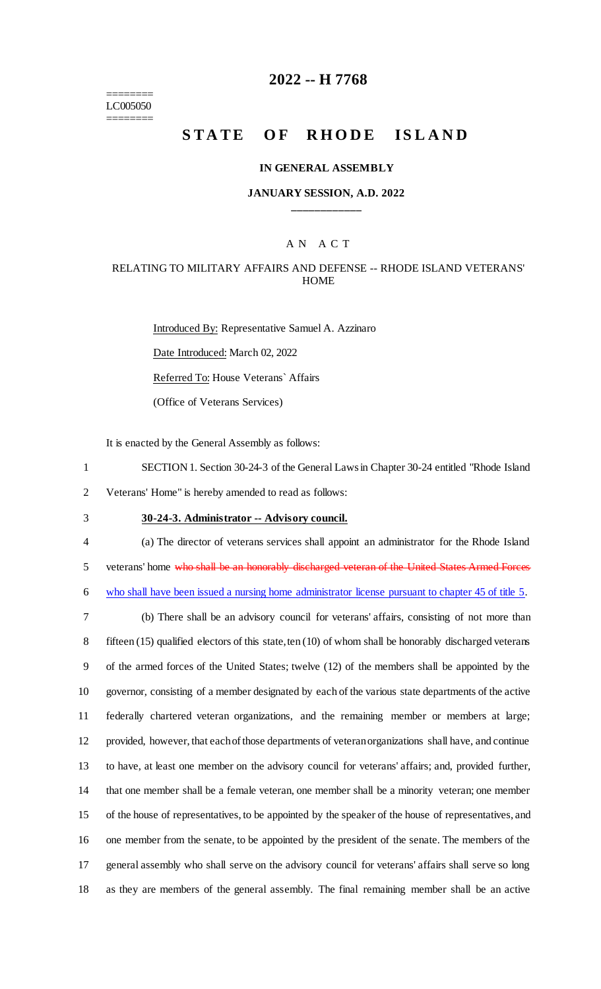======== LC005050 ========

# **2022 -- H 7768**

# **STATE OF RHODE ISLAND**

#### **IN GENERAL ASSEMBLY**

#### **JANUARY SESSION, A.D. 2022 \_\_\_\_\_\_\_\_\_\_\_\_**

#### A N A C T

#### RELATING TO MILITARY AFFAIRS AND DEFENSE -- RHODE ISLAND VETERANS' **HOME**

Introduced By: Representative Samuel A. Azzinaro Date Introduced: March 02, 2022 Referred To: House Veterans` Affairs (Office of Veterans Services)

It is enacted by the General Assembly as follows:

1 SECTION 1. Section 30-24-3 of the General Laws in Chapter 30-24 entitled "Rhode Island

2 Veterans' Home" is hereby amended to read as follows:

- 3 **30-24-3. Administrator -- Advisory council.**
- 

4 (a) The director of veterans services shall appoint an administrator for the Rhode Island

5 veterans' home who shall be an honorably discharged veteran of the United States Armed Forces

6 who shall have been issued a nursing home administrator license pursuant to chapter 45 of title 5.

 (b) There shall be an advisory council for veterans' affairs, consisting of not more than fifteen (15) qualified electors of this state, ten (10) of whom shall be honorably discharged veterans of the armed forces of the United States; twelve (12) of the members shall be appointed by the governor, consisting of a member designated by each of the various state departments of the active federally chartered veteran organizations, and the remaining member or members at large; provided, however, that each of those departments of veteran organizations shall have, and continue to have, at least one member on the advisory council for veterans' affairs; and, provided further, that one member shall be a female veteran, one member shall be a minority veteran; one member of the house of representatives, to be appointed by the speaker of the house of representatives, and one member from the senate, to be appointed by the president of the senate. The members of the general assembly who shall serve on the advisory council for veterans' affairs shall serve so long as they are members of the general assembly. The final remaining member shall be an active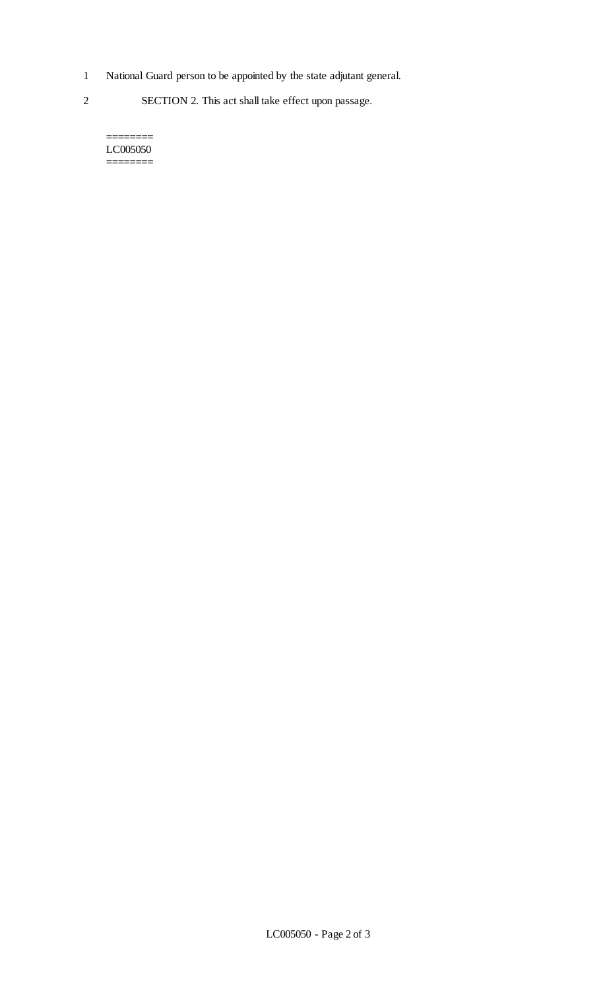- 1 National Guard person to be appointed by the state adjutant general.
- 2 SECTION 2. This act shall take effect upon passage.

======== LC005050 ========